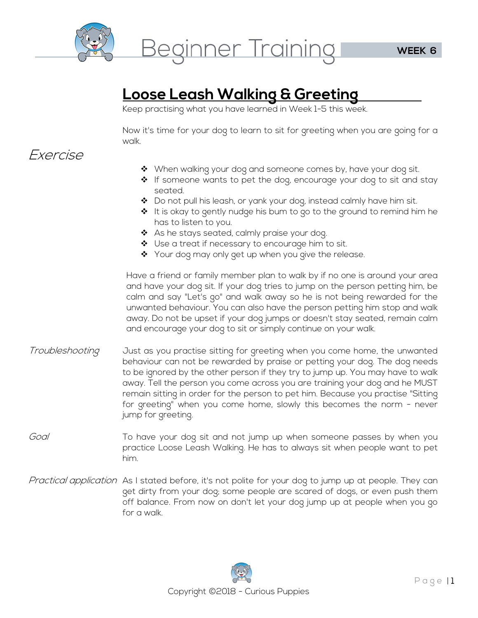

**Loose Leash Walking & Greeting**  Keep practising what you have learned in Week 1-5 this week.

Now it's time for your dog to learn to sit for greeting when you are going for a walk.

### Exercise

- ◆ When walking your dog and someone comes by, have your dog sit.
- If someone wants to pet the dog, encourage your dog to sit and stay seated.
- ◆ Do not pull his leash, or yank your dog, instead calmly have him sit.
- $\clubsuit$  It is okay to gently nudge his bum to go to the ground to remind him he has to listen to you.
- ◆ As he stays seated, calmly praise your dog.
- ◆ Use a treat if necessary to encourage him to sit.
- \* Your dog may only get up when you give the release.

Have a friend or family member plan to walk by if no one is around your area and have your dog sit. If your dog tries to jump on the person petting him, be calm and say "Let's go" and walk away so he is not being rewarded for the unwanted behaviour. You can also have the person petting him stop and walk away. Do not be upset if your dog jumps or doesn't stay seated, remain calm and encourage your dog to sit or simply continue on your walk.

- Troubleshooting Just as you practise sitting for greeting when you come home, the unwanted behaviour can not be rewarded by praise or petting your dog. The dog needs to be ignored by the other person if they try to jump up. You may have to walk away. Tell the person you come across you are training your dog and he MUST remain sitting in order for the person to pet him. Because you practise "Sitting for greeting" when you come home, slowly this becomes the norm - never jump for greeting.
- Goal To have your dog sit and not jump up when someone passes by when you practice Loose Leash Walking. He has to always sit when people want to pet him.
- Practical application As I stated before, it's not polite for your dog to jump up at people. They can get dirty from your dog; some people are scared of dogs, or even push them off balance. From now on don't let your dog jump up at people when you go for a walk.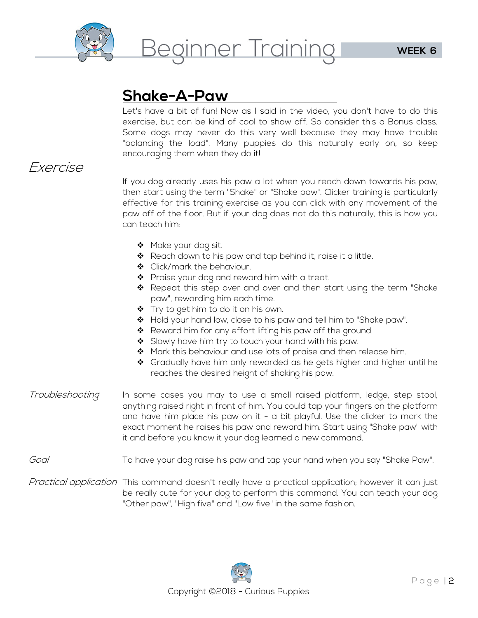

<u>Let's have a bit of fun! Now as I said in the video, you don't have to do this Let's have a bit of fun! Now as I said in the video, you don't have to do this</u> exercise, but can be kind of cool to show off. So consider this a Bonus class. Some dogs may never do this very well because they may have trouble "balancing the load". Many puppies do this naturally early on, so keep encouraging them when they do it!

## Exercise

If you dog already uses his paw a lot when you reach down towards his paw, then start using the term "Shake" or "Shake paw". Clicker training is particularly effective for this training exercise as you can click with any movement of the paw off of the floor. But if your dog does not do this naturally, this is how you can teach him:

- ◆ Make your dog sit.
- Reach down to his paw and tap behind it, raise it a little.
- ◆ Click/mark the behaviour.
- ❖ Praise your dog and reward him with a treat.
- \* Repeat this step over and over and then start using the term "Shake paw", rewarding him each time.
- ◆ Try to get him to do it on his own.
- Hold your hand low, close to his paw and tell him to "Shake paw".
- ◆ Reward him for any effort lifting his paw off the ground.
- $\div$  Slowly have him try to touch your hand with his paw.
- ◆ Mark this behaviour and use lots of praise and then release him.
- \* Gradually have him only rewarded as he gets higher and higher until he reaches the desired height of shaking his paw.
- Troubleshooting In some cases you may to use a small raised platform, ledge, step stool, anything raised right in front of him. You could tap your fingers on the platform and have him place his paw on it - a bit playful. Use the clicker to mark the exact moment he raises his paw and reward him. Start using "Shake paw" with it and before you know it your dog learned a new command.
- Goal To have your dog raise his paw and tap your hand when you say "Shake Paw".
- Practical application This command doesn't really have a practical application; however it can just be really cute for your dog to perform this command. You can teach your dog "Other paw", "High five" and "Low five" in the same fashion.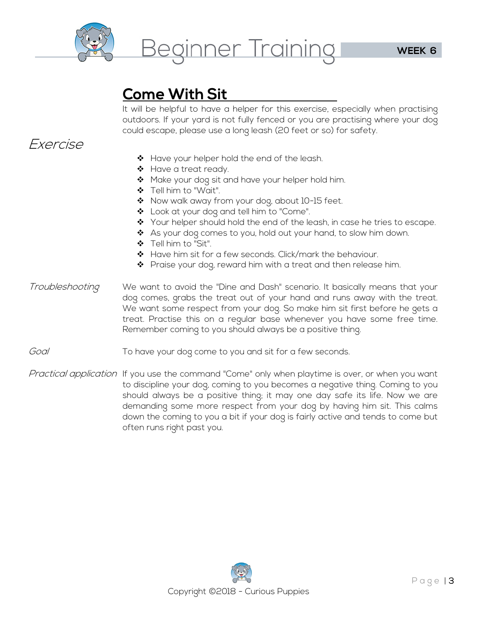

**Come With Sit**  It will be helpful to have a helper for this exercise, especially when practising outdoors. If your yard is not fully fenced or you are practising where your dog could escape, please use a long leash (20 feet or so) for safety.

### Exercise

- ❖ Have your helper hold the end of the leash.
- ❖ Have a treat ready.
- Make your dog sit and have your helper hold him.
- Tell him to "Wait".
- Now walk away from your dog, about 10-15 feet.
- ❖ Look at your dog and tell him to "Come".
- ◆ Your helper should hold the end of the leash, in case he tries to escape.
- ◆ As your dog comes to you, hold out your hand, to slow him down.
- Tell him to "Sit".
- \* Have him sit for a few seconds. Click/mark the behaviour.
- ❖ Praise your dog, reward him with a treat and then release him.
- Troubleshooting We want to avoid the "Dine and Dash" scenario. It basically means that your dog comes, grabs the treat out of your hand and runs away with the treat. We want some respect from your dog. So make him sit first before he gets a treat. Practise this on a regular base whenever you have some free time. Remember coming to you should always be a positive thing.
- Goal To have your dog come to you and sit for a few seconds.
- Practical application If you use the command "Come" only when playtime is over, or when you want to discipline your dog, coming to you becomes a negative thing. Coming to you should always be a positive thing; it may one day safe its life. Now we are demanding some more respect from your dog by having him sit. This calms down the coming to you a bit if your dog is fairly active and tends to come but often runs right past you.